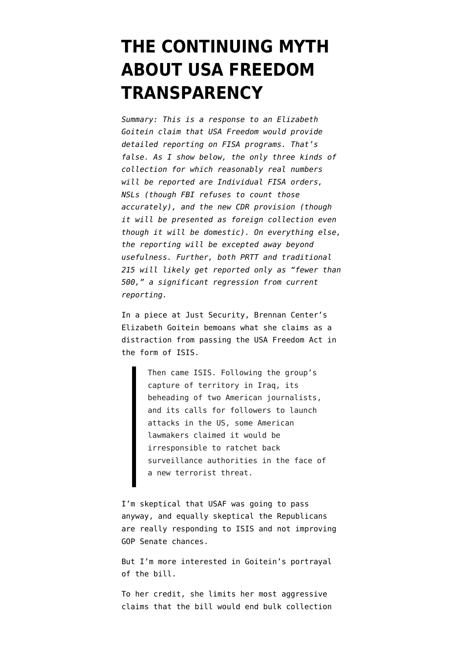## **[THE CONTINUING MYTH](https://www.emptywheel.net/2014/10/03/the-continuing-myth-about-usa-freedom-transparency/) [ABOUT USA FREEDOM](https://www.emptywheel.net/2014/10/03/the-continuing-myth-about-usa-freedom-transparency/) [TRANSPARENCY](https://www.emptywheel.net/2014/10/03/the-continuing-myth-about-usa-freedom-transparency/)**

*Summary: This is a response to an Elizabeth Goitein claim that USA Freedom would provide detailed reporting on FISA programs. That's false. As I show below, the only three kinds of collection for which reasonably real numbers will be reported are Individual FISA orders, NSLs (though FBI refuses to count those accurately), and the new CDR provision (though it will be presented as foreign collection even though it will be domestic). On everything else, the reporting will be excepted away beyond usefulness. Further, both PRTT and traditional 215 will likely get reported only as "fewer than 500," a significant regression from current reporting.*

In a piece at Just Security, Brennan Center's Elizabeth Goitein [bemoans](http://justsecurity.org/15839/its-time-pass-usa-freedom-act-warts/) what she claims as a distraction from passing the USA Freedom Act in the form of ISIS.

> Then came ISIS. Following the group's capture of territory in Iraq, its beheading of two American journalists, and its calls for followers to launch attacks in the US, some American lawmakers claimed it would be irresponsible to ratchet back surveillance authorities in the face of a new terrorist threat.

I'm skeptical that USAF was going to pass anyway, and equally skeptical the Republicans are really responding to ISIS and not improving GOP Senate chances.

But I'm more interested in Goitein's portrayal of [the bill](https://www.congress.gov/113/bills/s2685/BILLS-113s2685pcs.pdf).

To her credit, she limits her most aggressive claims that the bill would end bulk collection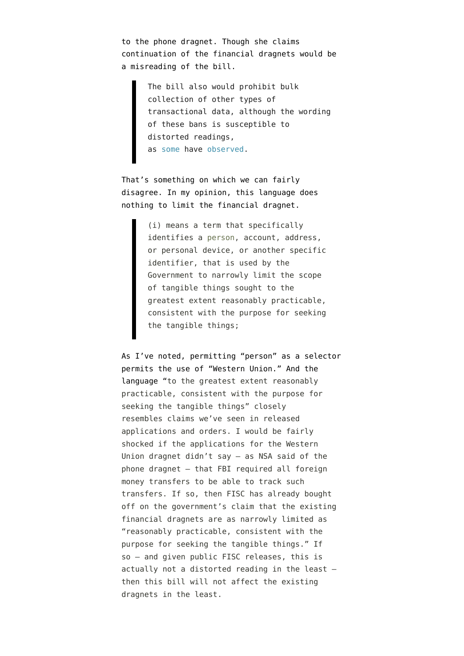to the phone dragnet. Though she claims continuation of the financial dragnets would be a misreading of the bill.

> The bill also would prohibit bulk collection of other types of transactional data, although the wording of these bans is susceptible to distorted readings, as [some](http://www.emptywheel.net/2014/07/29/leahy-usa-freedoms-bulky-corporate-persons/) have [observed.](http://www.emptywheel.net/2014/07/28/improved-usa-freedom-retains-connection-chaining-and-foreign-intelligence-retention/)

That's something on which we can fairly disagree. In my opinion, this language does nothing to limit the financial dragnet.

> (i) means a term that specifically identifies a person, account, address, or personal device, or another specific identifier, that is used by the Government to narrowly limit the scope of tangible things sought to the greatest extent reasonably practicable, consistent with the purpose for seeking the tangible things;

As I've noted, permitting "person" as a selector permits the use of "Western Union." And the language "to the greatest extent reasonably practicable, consistent with the purpose for seeking the tangible things" closely resembles claims we've seen in released applications and orders. I would be fairly shocked if the applications for the Western Union dragnet didn't say — as NSA said of the phone dragnet — that FBI required all foreign money transfers to be able to track such transfers. If so, then FISC has already bought off on the government's claim that the existing financial dragnets are as narrowly limited as "reasonably practicable, consistent with the purpose for seeking the tangible things." If so — and given public FISC releases, this is actually not a distorted reading in the least then this bill will not affect the existing dragnets in the least.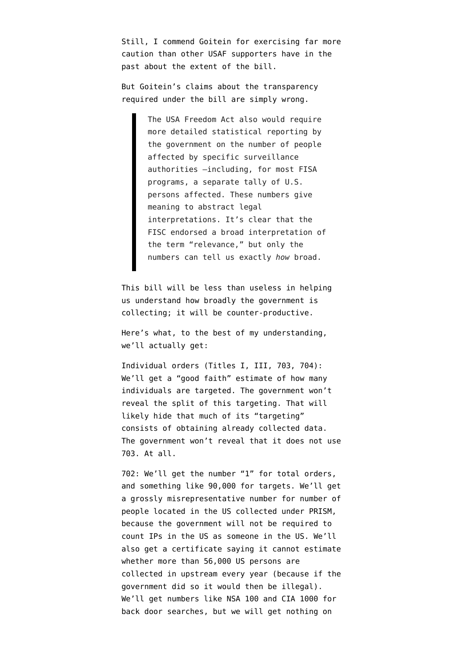Still, I commend Goitein for exercising far more caution than other USAF supporters have in the past about the extent of the bill.

But Goitein's claims about the transparency required under the bill are simply wrong.

> The USA Freedom Act also would require more detailed statistical reporting by the government on the number of people affected by specific surveillance authorities –including, for most FISA programs, a separate tally of U.S. persons affected. These numbers give meaning to abstract legal interpretations. It's clear that the FISC endorsed a broad interpretation of the term "relevance," but only the numbers can tell us exactly *how* broad.

This bill will be less than useless in helping us understand how broadly the government is collecting; it will be counter-productive.

Here's what, to the best of my understanding, we'll actually get:

Individual orders (Titles I, III, 703, 704): We'll get a "good faith" estimate of how many individuals are targeted. The government won't reveal the split of this targeting. That will likely hide that much of its "targeting" consists of obtaining already collected data. The government won't reveal that it does not use 703. At all.

702: We'll get the number "1" for total orders, and something like 90,000 for targets. We'll get a grossly misrepresentative number for number of people located in the US collected under PRISM, because the government will not be required to count IPs in the US as someone in the US. We'll also get a certificate saying it cannot estimate whether more than 56,000 US persons are collected in upstream every year (because if the government did so it would then be illegal). We'll get numbers like NSA 100 and CIA 1000 for back door searches, but we will get nothing on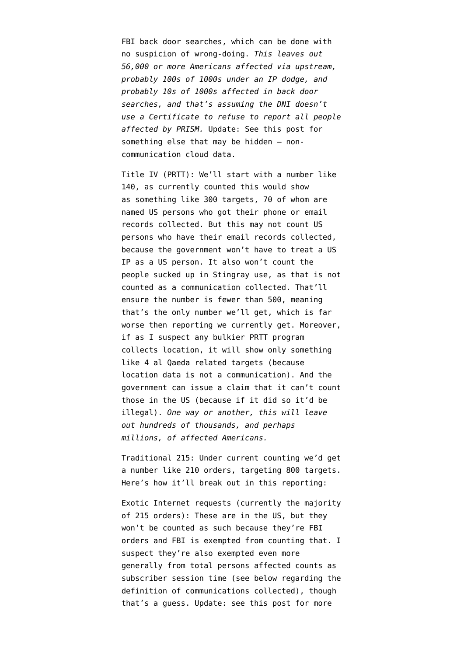FBI back door searches, which can be done with no suspicion of wrong-doing. *This leaves out 56,000 or more Americans affected via upstream, probably 100s of 1000s under an IP dodge, and probably 10s of 1000s affected in back door searches, and that's assuming the DNI doesn't use a Certificate to refuse to report all people affected by PRISM.* Update: See [this post](http://www.emptywheel.net/2014/10/05/clouded-transparency-in-usa-freedom-act/) for something else that may be hidden — noncommunication cloud data.

Title IV (PRTT): We'll start with a number like 140, as currently counted this would show as something like 300 targets, 70 of whom are named US persons who got their phone or email records collected. But this may not count US persons who have their email records collected, because the government won't have to treat a US IP as a US person. It also won't count the people sucked up in Stingray use, as that is not counted as a communication collected. That'll ensure the number is fewer than 500, meaning that's the only number we'll get, which is far worse then reporting we currently get. Moreover, if as I suspect any bulkier PRTT program collects location, it will show only something like 4 al Qaeda related targets (because location data is not a communication). And the government can issue a claim that it can't count those in the US (because if it did so it'd be illegal). *One way or another, this will leave out hundreds of thousands, and perhaps millions, of affected Americans.* 

Traditional 215: Under current counting we'd get a number like 210 orders, targeting 800 targets. Here's how it'll break out in this reporting:

Exotic Internet requests (currently the majority of 215 orders): These are in the US, but they won't be counted as such because they're FBI orders and FBI is exempted from counting that. I suspect they're also exempted even more generally from total persons affected counts as subscriber session time (see below regarding the definition of communications collected), though that's a guess. Update: see [this post](http://www.emptywheel.net/2014/10/05/clouded-transparency-in-usa-freedom-act/) for more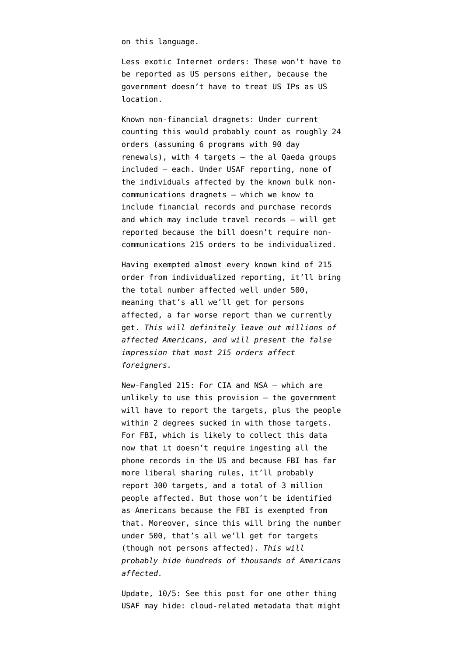on this language.

Less exotic Internet orders: These won't have to be reported as US persons either, because the government doesn't have to treat US IPs as US location.

Known non-financial dragnets: Under current counting this would probably count as roughly 24 orders (assuming 6 programs with 90 day renewals), with 4 targets — the al Qaeda groups included — each. Under USAF reporting, none of the individuals affected by the known bulk noncommunications dragnets — which we know to include financial records and purchase records and which may include travel records — will get reported because the bill doesn't require noncommunications 215 orders to be individualized.

Having exempted almost every known kind of 215 order from individualized reporting, it'll bring the total number affected well under 500, meaning that's all we'll get for persons affected, a far worse report than we currently get. *This will definitely leave out millions of affected Americans, and will present the false impression that most 215 orders affect foreigners.* 

New-Fangled 215: For CIA and NSA — which are unlikely to use this provision — the government will have to report the targets, plus the people within 2 degrees sucked in with those targets. For FBI, which is likely to collect this data now that it doesn't require ingesting all the phone records in the US and because FBI has far more liberal sharing rules, it'll probably report 300 targets, and a total of 3 million people affected. But those won't be identified as Americans because the FBI is exempted from that. Moreover, since this will bring the number under 500, that's all we'll get for targets (though not persons affected). *This will probably hide hundreds of thousands of Americans affected.*

Update, 10/5: See [this post](http://www.emptywheel.net/2014/10/05/clouded-transparency-in-usa-freedom-act/) for one other thing USAF may hide: cloud-related metadata that might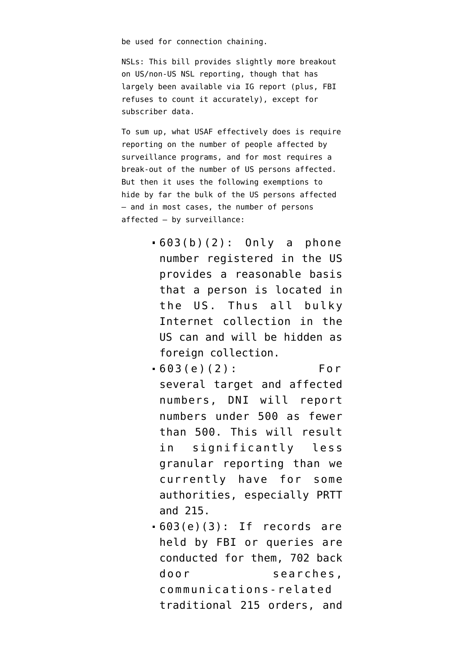be used for connection chaining.

NSLs: This bill provides slightly more breakout on US/non-US NSL reporting, though that has largely been available via IG report (plus, FBI refuses to count it accurately), except for subscriber data.

To sum up, what USAF effectively does is require reporting on the number of people affected by surveillance programs, and for most requires a break-out of the number of US persons affected. But then it uses the following exemptions to hide by far the bulk of the US persons affected — and in most cases, the number of persons affected — by surveillance:

- 603(b)(2): Only a phone number registered in the US provides a reasonable basis that a person is located in the US. Thus all bulky Internet collection in the US can and will be hidden as foreign collection.
- 603(e)(2): For several target and affected numbers, DNI will report numbers under 500 as fewer than 500. This will result in significantly less granular reporting than we currently have for some authorities, especially PRTT and 215.
- $-603(e)(3)$ : If records are held by FBI or queries are conducted for them, 702 back door searches, communications-related traditional 215 orders, and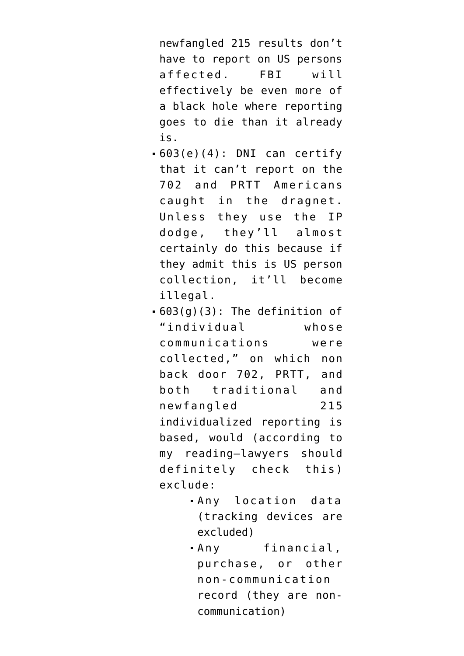newfangled 215 results don't have to report on US persons affected. FBI will effectively be even more of a black hole where reporting goes to die than it already is.

- $-603(e)(4)$ : DNI can certify that it can't report on the 702 and PRTT Americans caught in the dragnet. Unless they use the IP dodge, they'll almost certainly do this because if they admit this is US person collection, it'll become illegal.
- 603(g)(3): The definition of "individual whose communications were collected," on which non back door 702, PRTT, and both traditional and newfangled 215 individualized reporting is based, would (according to my reading–lawyers should definitely check this) exclude:
	- Any location data (tracking devices are excluded)
	- Any financial, purchase, or other non-communication record (they are noncommunication)